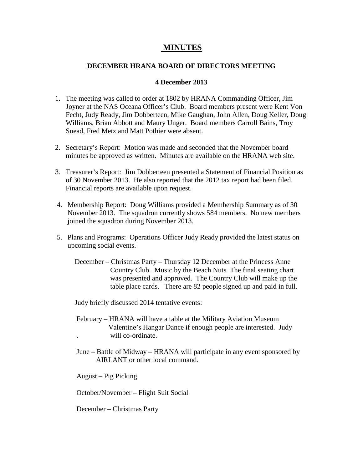## **MINUTES**

## **DECEMBER HRANA BOARD OF DIRECTORS MEETING**

## **4 December 2013**

- 1. The meeting was called to order at 1802 by HRANA Commanding Officer, Jim Joyner at the NAS Oceana Officer's Club. Board members present were Kent Von Fecht, Judy Ready, Jim Dobberteen, Mike Gaughan, John Allen, Doug Keller, Doug Williams, Brian Abbott and Maury Unger. Board members Carroll Bains, Troy Snead, Fred Metz and Matt Pothier were absent.
- 2. Secretary's Report: Motion was made and seconded that the November board minutes be approved as written. Minutes are available on the HRANA web site.
- 3. Treasurer's Report: Jim Dobberteen presented a Statement of Financial Position as of 30 November 2013. He also reported that the 2012 tax report had been filed. Financial reports are available upon request.
- 4. Membership Report: Doug Williams provided a Membership Summary as of 30 November 2013. The squadron currently shows 584 members. No new members joined the squadron during November 2013.
- 5. Plans and Programs: Operations Officer Judy Ready provided the latest status on upcoming social events.
	- December Christmas Party Thursday 12 December at the Princess Anne Country Club. Music by the Beach Nuts The final seating chart was presented and approved. The Country Club will make up the table place cards. There are 82 people signed up and paid in full.

Judy briefly discussed 2014 tentative events:

- February HRANA will have a table at the Military Aviation Museum Valentine's Hangar Dance if enough people are interested. Judy . will co-ordinate.
- June Battle of Midway HRANA will participate in any event sponsored by AIRLANT or other local command.

August – Pig Picking

October/November – Flight Suit Social

December – Christmas Party